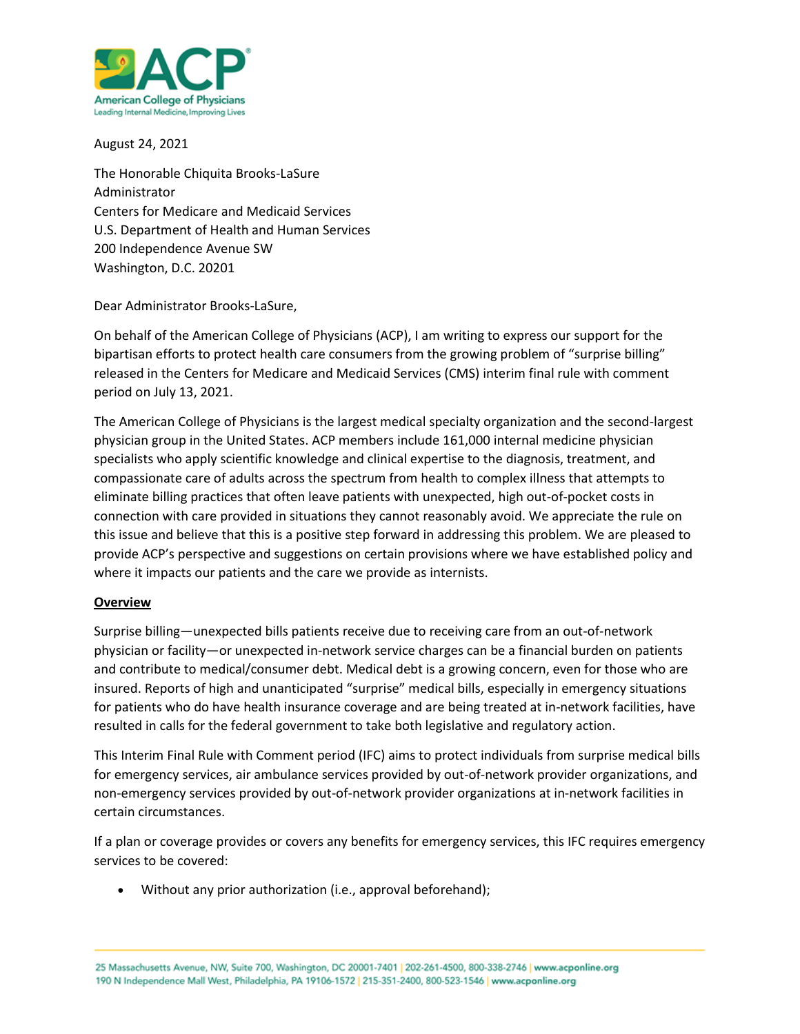

August 24, 2021

The Honorable Chiquita Brooks-LaSure Administrator Centers for Medicare and Medicaid Services U.S. Department of Health and Human Services 200 Independence Avenue SW Washington, D.C. 20201

Dear Administrator Brooks-LaSure,

On behalf of the American College of Physicians (ACP), I am writing to express our support for the bipartisan efforts to protect health care consumers from the growing problem of "surprise billing" released in the Centers for Medicare and Medicaid Services (CMS) interim final rule with comment period on July 13, 2021.

The American College of Physicians is the largest medical specialty organization and the second-largest physician group in the United States. ACP members include 161,000 internal medicine physician specialists who apply scientific knowledge and clinical expertise to the diagnosis, treatment, and compassionate care of adults across the spectrum from health to complex illness that attempts to eliminate billing practices that often leave patients with unexpected, high out-of-pocket costs in connection with care provided in situations they cannot reasonably avoid. We appreciate the rule on this issue and believe that this is a positive step forward in addressing this problem. We are pleased to provide ACP's perspective and suggestions on certain provisions where we have established policy and where it impacts our patients and the care we provide as internists.

### **Overview**

Surprise billing—unexpected bills patients receive due to receiving care from an out-of-network physician or facility—or unexpected in-network service charges can be a financial burden on patients and contribute to medical/consumer debt. Medical debt is a growing concern, even for those who are insured. Reports of high and unanticipated "surprise" medical bills, especially in emergency situations for patients who do have health insurance coverage and are being treated at in-network facilities, have resulted in calls for the federal government to take both legislative and regulatory action.

This Interim Final Rule with Comment period (IFC) aims to protect individuals from surprise medical bills for emergency services, air ambulance services provided by out-of-network provider organizations, and non-emergency services provided by out-of-network provider organizations at in-network facilities in certain circumstances.

If a plan or coverage provides or covers any benefits for emergency services, this IFC requires emergency services to be covered:

• Without any prior authorization (i.e., approval beforehand);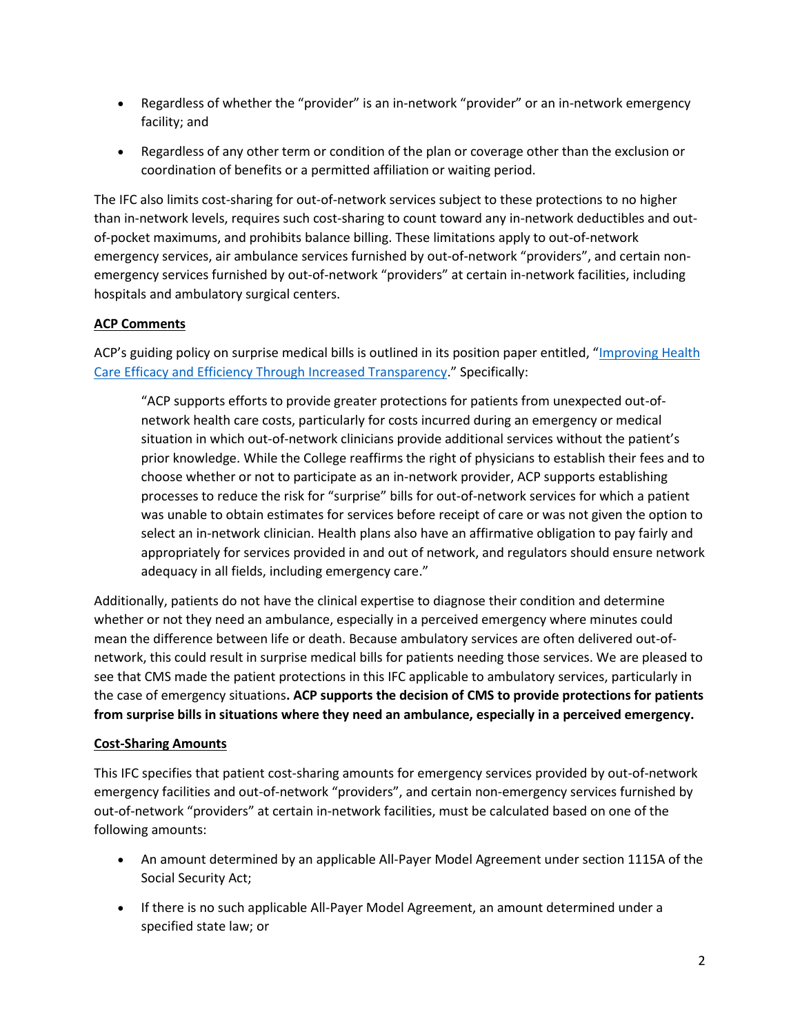- Regardless of whether the "provider" is an in-network "provider" or an in-network emergency facility; and
- Regardless of any other term or condition of the plan or coverage other than the exclusion or coordination of benefits or a permitted affiliation or waiting period.

The IFC also limits cost-sharing for out-of-network services subject to these protections to no higher than in-network levels, requires such cost-sharing to count toward any in-network deductibles and outof-pocket maximums, and prohibits balance billing. These limitations apply to out-of-network emergency services, air ambulance services furnished by out-of-network "providers", and certain nonemergency services furnished by out-of-network "providers" at certain in-network facilities, including hospitals and ambulatory surgical centers.

# **ACP Comments**

ACP's guiding policy on surprise medical bills is outlined in its position paper entitled, "Improving Health [Care Efficacy and Efficiency Through Increased Transparency](https://www.acponline.org/acp_policy/policies/improving_health_care_efficacy_and_efficiency_through_increased_transparency_2017.pdf)." Specifically:

"ACP supports efforts to provide greater protections for patients from unexpected out-ofnetwork health care costs, particularly for costs incurred during an emergency or medical situation in which out-of-network clinicians provide additional services without the patient's prior knowledge. While the College reaffirms the right of physicians to establish their fees and to choose whether or not to participate as an in-network provider, ACP supports establishing processes to reduce the risk for "surprise" bills for out-of-network services for which a patient was unable to obtain estimates for services before receipt of care or was not given the option to select an in-network clinician. Health plans also have an affirmative obligation to pay fairly and appropriately for services provided in and out of network, and regulators should ensure network adequacy in all fields, including emergency care."

Additionally, patients do not have the clinical expertise to diagnose their condition and determine whether or not they need an ambulance, especially in a perceived emergency where minutes could mean the difference between life or death. Because ambulatory services are often delivered out-ofnetwork, this could result in surprise medical bills for patients needing those services. We are pleased to see that CMS made the patient protections in this IFC applicable to ambulatory services, particularly in the case of emergency situations**. ACP supports the decision of CMS to provide protections for patients from surprise bills in situations where they need an ambulance, especially in a perceived emergency.**

# **Cost-Sharing Amounts**

This IFC specifies that patient cost-sharing amounts for emergency services provided by out-of-network emergency facilities and out-of-network "providers", and certain non-emergency services furnished by out-of-network "providers" at certain in-network facilities, must be calculated based on one of the following amounts:

- An amount determined by an applicable All-Payer Model Agreement under section 1115A of the Social Security Act;
- If there is no such applicable All-Payer Model Agreement, an amount determined under a specified state law; or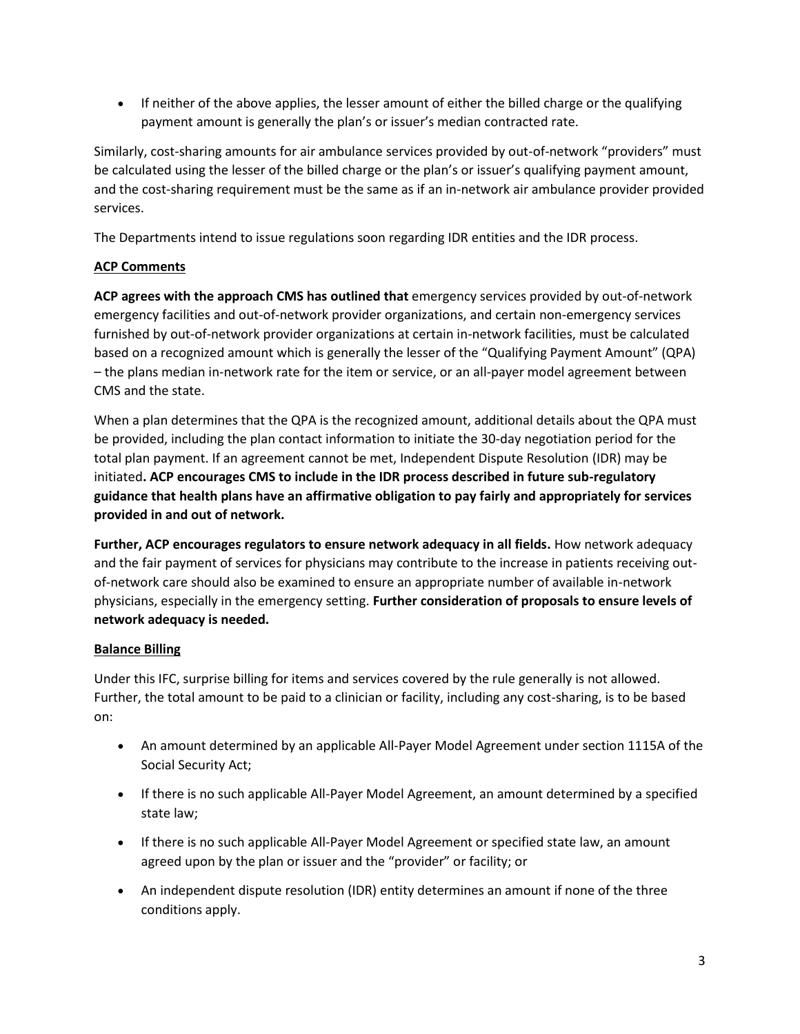• If neither of the above applies, the lesser amount of either the billed charge or the qualifying payment amount is generally the plan's or issuer's median contracted rate.

Similarly, cost-sharing amounts for air ambulance services provided by out-of-network "providers" must be calculated using the lesser of the billed charge or the plan's or issuer's qualifying payment amount, and the cost-sharing requirement must be the same as if an in-network air ambulance provider provided services.

The Departments intend to issue regulations soon regarding IDR entities and the IDR process.

# **ACP Comments**

**ACP agrees with the approach CMS has outlined that** emergency services provided by out-of-network emergency facilities and out-of-network provider organizations, and certain non-emergency services furnished by out-of-network provider organizations at certain in-network facilities, must be calculated based on a recognized amount which is generally the lesser of the "Qualifying Payment Amount" (QPA) – the plans median in-network rate for the item or service, or an all-payer model agreement between CMS and the state.

When a plan determines that the QPA is the recognized amount, additional details about the QPA must be provided, including the plan contact information to initiate the 30-day negotiation period for the total plan payment. If an agreement cannot be met, Independent Dispute Resolution (IDR) may be initiated**. ACP encourages CMS to include in the IDR process described in future sub-regulatory guidance that health plans have an affirmative obligation to pay fairly and appropriately for services provided in and out of network.**

**Further, ACP encourages regulators to ensure network adequacy in all fields.** How network adequacy and the fair payment of services for physicians may contribute to the increase in patients receiving outof-network care should also be examined to ensure an appropriate number of available in-network physicians, especially in the emergency setting. **Further consideration of proposals to ensure levels of network adequacy is needed.**

# **Balance Billing**

Under this IFC, surprise billing for items and services covered by the rule generally is not allowed. Further, the total amount to be paid to a clinician or facility, including any cost-sharing, is to be based on:

- An amount determined by an applicable All-Payer Model Agreement under section 1115A of the Social Security Act;
- If there is no such applicable All-Payer Model Agreement, an amount determined by a specified state law;
- If there is no such applicable All-Payer Model Agreement or specified state law, an amount agreed upon by the plan or issuer and the "provider" or facility; or
- An independent dispute resolution (IDR) entity determines an amount if none of the three conditions apply.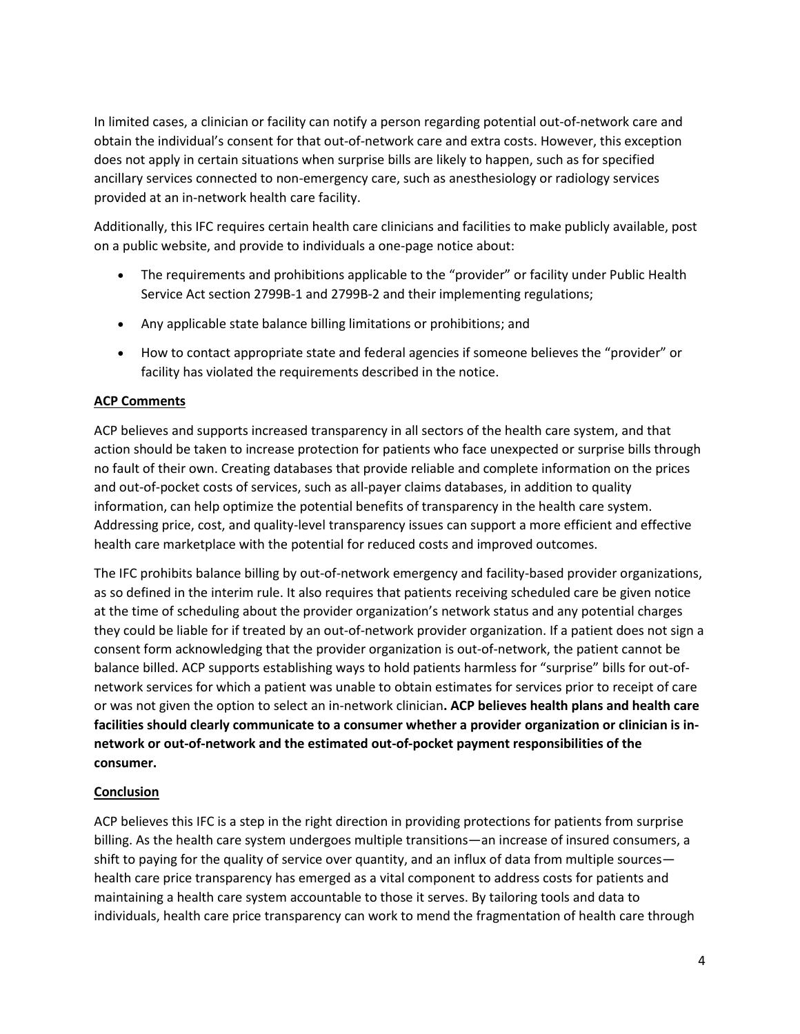In limited cases, a clinician or facility can notify a person regarding potential out-of-network care and obtain the individual's consent for that out-of-network care and extra costs. However, this exception does not apply in certain situations when surprise bills are likely to happen, such as for specified ancillary services connected to non-emergency care, such as anesthesiology or radiology services provided at an in-network health care facility.

Additionally, this IFC requires certain health care clinicians and facilities to make publicly available, post on a public website, and provide to individuals a one-page notice about:

- The requirements and prohibitions applicable to the "provider" or facility under Public Health Service Act section 2799B-1 and 2799B-2 and their implementing regulations;
- Any applicable state balance billing limitations or prohibitions; and
- How to contact appropriate state and federal agencies if someone believes the "provider" or facility has violated the requirements described in the notice.

# **ACP Comments**

ACP believes and supports increased transparency in all sectors of the health care system, and that action should be taken to increase protection for patients who face unexpected or surprise bills through no fault of their own. Creating databases that provide reliable and complete information on the prices and out-of-pocket costs of services, such as all-payer claims databases, in addition to quality information, can help optimize the potential benefits of transparency in the health care system. Addressing price, cost, and quality-level transparency issues can support a more efficient and effective health care marketplace with the potential for reduced costs and improved outcomes.

The IFC prohibits balance billing by out-of-network emergency and facility-based provider organizations, as so defined in the interim rule. It also requires that patients receiving scheduled care be given notice at the time of scheduling about the provider organization's network status and any potential charges they could be liable for if treated by an out-of-network provider organization. If a patient does not sign a consent form acknowledging that the provider organization is out-of-network, the patient cannot be balance billed. ACP supports establishing ways to hold patients harmless for "surprise" bills for out-ofnetwork services for which a patient was unable to obtain estimates for services prior to receipt of care or was not given the option to select an in-network clinician**. ACP believes health plans and health care facilities should clearly communicate to a consumer whether a provider organization or clinician is innetwork or out-of-network and the estimated out-of-pocket payment responsibilities of the consumer.** 

### **Conclusion**

ACP believes this IFC is a step in the right direction in providing protections for patients from surprise billing. As the health care system undergoes multiple transitions—an increase of insured consumers, a shift to paying for the quality of service over quantity, and an influx of data from multiple sources health care price transparency has emerged as a vital component to address costs for patients and maintaining a health care system accountable to those it serves. By tailoring tools and data to individuals, health care price transparency can work to mend the fragmentation of health care through